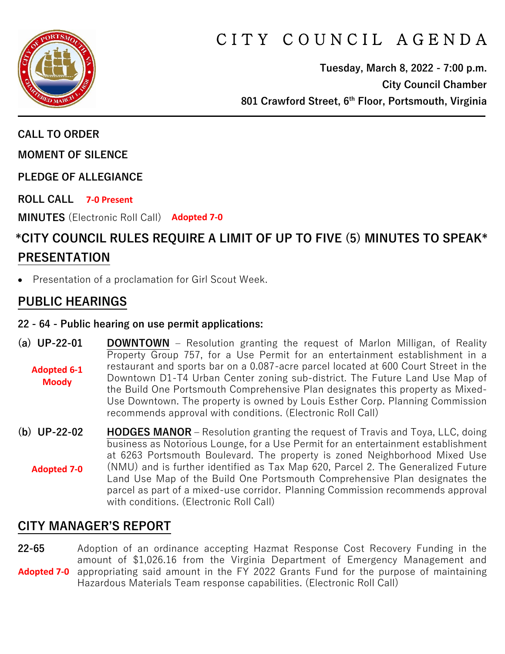

# C I T Y C O U N C I L A G E N D A

**Tuesday, March 8, 2022 - 7:00 p.m. City Council Chamber 801 Crawford Street, 6th Floor, Portsmouth, Virginia**

**CALL TO ORDER**

**MOMENT OF SILENCE**

**PLEDGE OF ALLEGIANCE** 

**ROLL CALL 7-0 Present**

**MINUTES** (Electronic Roll Call) **Adopted 7-0**

# **\*CITY COUNCIL RULES REQUIRE A LIMIT OF UP TO FIVE (5) MINUTES TO SPEAK\* PRESENTATION**

• Presentation of a proclamation for Girl Scout Week.

# **PUBLIC HEARINGS**

#### **22 - 64 - Public hearing on use permit applications:**

- **(a) UP-22-01 DOWNTOWN** Resolution granting the request of Marlon Milligan, of Reality Property Group 757, for a Use Permit for an entertainment establishment in a restaurant and sports bar on a 0.087-acre parcel located at 600 Court Street in the Downtown D1-T4 Urban Center zoning sub-district. The Future Land Use Map of the Build One Portsmouth Comprehensive Plan designates this property as Mixed-Use Downtown. The property is owned by Louis Esther Corp. Planning Commission recommends approval with conditions. (Electronic Roll Call) **Adopted 6-1 Moody**
- **(b) UP-22-02 HODGES MANOR –** Resolution granting the request of Travis and Toya, LLC, doing business as Notorious Lounge, for a Use Permit for an entertainment establishment at 6263 Portsmouth Boulevard. The property is zoned Neighborhood Mixed Use (NMU) and is further identified as Tax Map 620, Parcel 2. The Generalized Future Land Use Map of the Build One Portsmouth Comprehensive Plan designates the parcel as part of a mixed-use corridor. Planning Commission recommends approval with conditions. (Electronic Roll Call) **Adopted 7-0**

# **CITY MANAGER'S REPORT**

**22-65** Adoption of an ordinance accepting Hazmat Response Cost Recovery Funding in the amount of \$1,026.16 from the Virginia Department of Emergency Management and Adopted 7-0 appropriating said amount in the FY 2022 Grants Fund for the purpose of maintaining Hazardous Materials Team response capabilities. (Electronic Roll Call)